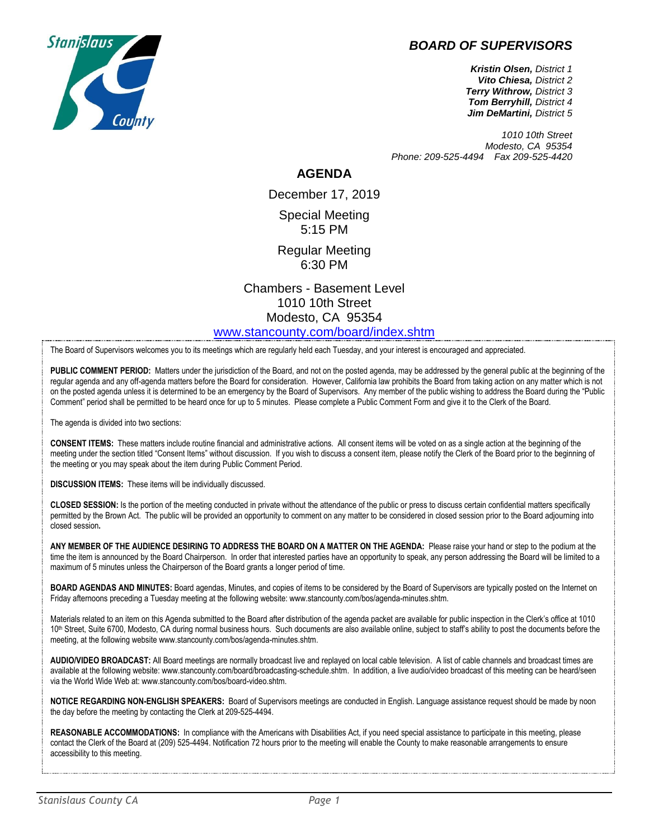## *BOARD OF SUPERVISORS*



*Kristin Olsen, District 1 Vito Chiesa, District 2 Terry Withrow, District 3 Tom Berryhill, District 4 Jim DeMartini, District 5*

*1010 10th Street Modesto, CA 95354 Phone: 209-525-4494 Fax 209-525-4420*

## **AGENDA**

December 17, 2019 Special Meeting 5:15 PM

Regular Meeting 6:30 PM

Chambers - Basement Level 1010 10th Street Modesto, CA 95354 [www.stancounty.com/board/index.shtm](http://www.stancounty.com/board/index.shtm)

The Board of Supervisors welcomes you to its meetings which are regularly held each Tuesday, and your interest is encouraged and appreciated.

**PUBLIC COMMENT PERIOD:** Matters under the jurisdiction of the Board, and not on the posted agenda, may be addressed by the general public at the beginning of the regular agenda and any off-agenda matters before the Board for consideration. However, California law prohibits the Board from taking action on any matter which is not on the posted agenda unless it is determined to be an emergency by the Board of Supervisors. Any member of the public wishing to address the Board during the "Public Comment" period shall be permitted to be heard once for up to 5 minutes. Please complete a Public Comment Form and give it to the Clerk of the Board.

The agenda is divided into two sections:

**CONSENT ITEMS:** These matters include routine financial and administrative actions. All consent items will be voted on as a single action at the beginning of the meeting under the section titled "Consent Items" without discussion. If you wish to discuss a consent item, please notify the Clerk of the Board prior to the beginning of the meeting or you may speak about the item during Public Comment Period.

**DISCUSSION ITEMS:** These items will be individually discussed.

**CLOSED SESSION:** Is the portion of the meeting conducted in private without the attendance of the public or press to discuss certain confidential matters specifically permitted by the Brown Act. The public will be provided an opportunity to comment on any matter to be considered in closed session prior to the Board adjourning into closed session**.**

**ANY MEMBER OF THE AUDIENCE DESIRING TO ADDRESS THE BOARD ON A MATTER ON THE AGENDA:** Please raise your hand or step to the podium at the time the item is announced by the Board Chairperson. In order that interested parties have an opportunity to speak, any person addressing the Board will be limited to a maximum of 5 minutes unless the Chairperson of the Board grants a longer period of time.

**BOARD AGENDAS AND MINUTES:** Board agendas, Minutes, and copies of items to be considered by the Board of Supervisors are typically posted on the Internet on Friday afternoons preceding a Tuesday meeting at the following website: www.stancounty.com/bos/agenda-minutes.shtm.

Materials related to an item on this Agenda submitted to the Board after distribution of the agenda packet are available for public inspection in the Clerk's office at 1010 10<sup>th</sup> Street, Suite 6700, Modesto, CA during normal business hours. Such documents are also available online, subject to staff's ability to post the documents before the meeting, at the following website www.stancounty.com/bos/agenda-minutes.shtm.

**AUDIO/VIDEO BROADCAST:** All Board meetings are normally broadcast live and replayed on local cable television. A list of cable channels and broadcast times are available at the following website: www.stancounty.com/board/broadcasting-schedule.shtm. In addition, a live audio/video broadcast of this meeting can be heard/seen via the World Wide Web at: www.stancounty.com/bos/board-video.shtm.

**NOTICE REGARDING NON-ENGLISH SPEAKERS:** Board of Supervisors meetings are conducted in English. Language assistance request should be made by noon the day before the meeting by contacting the Clerk at 209-525-4494.

REASONABLE ACCOMMODATIONS: In compliance with the Americans with Disabilities Act, if you need special assistance to participate in this meeting, please contact the Clerk of the Board at (209) 525-4494. Notification 72 hours prior to the meeting will enable the County to make reasonable arrangements to ensure accessibility to this meeting.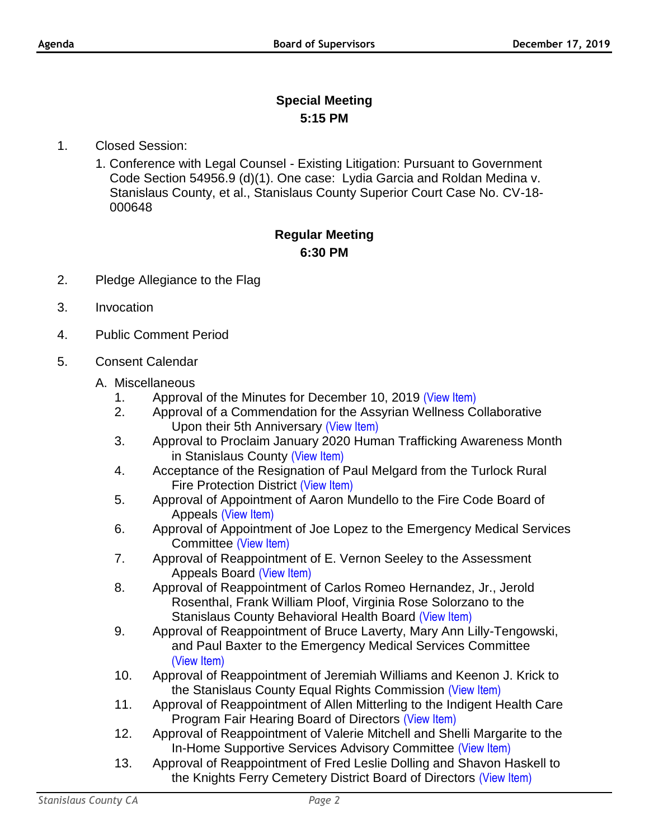## **Special Meeting 5:15 PM**

- 1. Closed Session:
	- 1. Conference with Legal Counsel Existing Litigation: Pursuant to Government Code Section 54956.9 (d)(1). One case: Lydia Garcia and Roldan Medina v. Stanislaus County, et al., Stanislaus County Superior Court Case No. CV-18- 000648

## **Regular Meeting 6:30 PM**

- 2. Pledge Allegiance to the Flag
- 3. Invocation
- 4. Public Comment Period
- 5. Consent Calendar
	- A. Miscellaneous
		- 1. Approval of the Minutes for December 10, 2019 [\(View Item\)](http://www.stancounty.com/bos/minutes/2019/min12-10-19.pdf)
		- 2. Approval of a Commendation for the Assyrian Wellness Collaborative Upon their 5th Anniversary [\(View Item\)](http://www.stancounty.com/bos/agenda/2019/20191217/A02.pdf)
		- 3. Approval to Proclaim January 2020 Human Trafficking Awareness Month in Stanislaus County [\(View Item\)](http://www.stancounty.com/bos/agenda/2019/20191217/A03.pdf)
		- 4. Acceptance of the Resignation of Paul Melgard from the Turlock Rural Fire Protection District [\(View Item\)](http://www.stancounty.com/bos/agenda/2019/20191217/A04.pdf)
		- 5. Approval of Appointment of Aaron Mundello to the Fire Code Board of Appeals [\(View Item\)](http://www.stancounty.com/bos/agenda/2019/20191217/A05.pdf)
		- 6. Approval of Appointment of Joe Lopez to the Emergency Medical Services Committee [\(View Item\)](http://www.stancounty.com/bos/agenda/2019/20191217/A06.pdf)
		- 7. Approval of Reappointment of E. Vernon Seeley to the Assessment Appeals Board [\(View Item\)](http://www.stancounty.com/bos/agenda/2019/20191217/A07.pdf)
		- 8. Approval of Reappointment of Carlos Romeo Hernandez, Jr., Jerold Rosenthal, Frank William Ploof, Virginia Rose Solorzano to the Stanislaus County Behavioral Health Board [\(View Item\)](http://www.stancounty.com/bos/agenda/2019/20191217/A08.pdf)
		- 9. Approval of Reappointment of Bruce Laverty, Mary Ann Lilly-Tengowski, and Paul Baxter to the Emergency Medical Services Committee [\(View Item\)](http://www.stancounty.com/bos/agenda/2019/20191217/A09.pdf)
		- 10. Approval of Reappointment of Jeremiah Williams and Keenon J. Krick to the Stanislaus County Equal Rights Commission [\(View Item\)](http://www.stancounty.com/bos/agenda/2019/20191217/A10.pdf)
		- 11. Approval of Reappointment of Allen Mitterling to the Indigent Health Care Program Fair Hearing Board of Directors [\(View Item\)](http://www.stancounty.com/bos/agenda/2019/20191217/A11.pdf)
		- 12. Approval of Reappointment of Valerie Mitchell and Shelli Margarite to the In-Home Supportive Services Advisory Committee [\(View Item\)](http://www.stancounty.com/bos/agenda/2019/20191217/A12.pdf)
		- 13. Approval of Reappointment of Fred Leslie Dolling and Shavon Haskell to the Knights Ferry Cemetery District Board of Directors [\(View Item\)](http://www.stancounty.com/bos/agenda/2019/20191217/A13.pdf)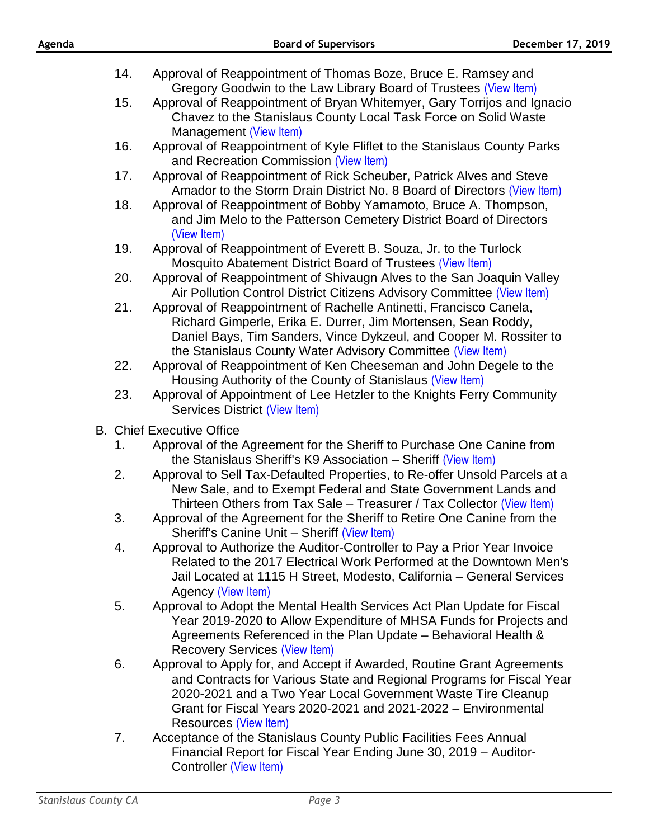| Agenda |     | <b>Board of Supervisors</b>                                                                                                                                                                                                                                             | December 17, 2019 |
|--------|-----|-------------------------------------------------------------------------------------------------------------------------------------------------------------------------------------------------------------------------------------------------------------------------|-------------------|
|        | 14. | Approval of Reappointment of Thomas Boze, Bruce E. Ramsey and<br>Gregory Goodwin to the Law Library Board of Trustees (View Item)                                                                                                                                       |                   |
|        | 15. | Approval of Reappointment of Bryan Whitemyer, Gary Torrijos and Ignacio<br>Chavez to the Stanislaus County Local Task Force on Solid Waste<br>Management (View Item)                                                                                                    |                   |
|        | 16. | Approval of Reappointment of Kyle Fliflet to the Stanislaus County Parks<br>and Recreation Commission (View Item)                                                                                                                                                       |                   |
|        | 17. | Approval of Reappointment of Rick Scheuber, Patrick Alves and Steve<br>Amador to the Storm Drain District No. 8 Board of Directors (View Item)                                                                                                                          |                   |
|        | 18. | Approval of Reappointment of Bobby Yamamoto, Bruce A. Thompson,<br>and Jim Melo to the Patterson Cemetery District Board of Directors<br>(View Item)                                                                                                                    |                   |
|        | 19. | Approval of Reappointment of Everett B. Souza, Jr. to the Turlock<br>Mosquito Abatement District Board of Trustees (View Item)                                                                                                                                          |                   |
|        | 20. | Approval of Reappointment of Shivaugn Alves to the San Joaquin Valley<br>Air Pollution Control District Citizens Advisory Committee (View Item)                                                                                                                         |                   |
|        | 21. | Approval of Reappointment of Rachelle Antinetti, Francisco Canela,<br>Richard Gimperle, Erika E. Durrer, Jim Mortensen, Sean Roddy,<br>Daniel Bays, Tim Sanders, Vince Dykzeul, and Cooper M. Rossiter to<br>the Stanislaus County Water Advisory Committee (View Item) |                   |
|        | 22. | Approval of Reappointment of Ken Cheeseman and John Degele to the<br>Housing Authority of the County of Stanislaus (View Item)                                                                                                                                          |                   |
|        | 23. | Approval of Appointment of Lee Hetzler to the Knights Ferry Community<br>Services District (View Item)                                                                                                                                                                  |                   |
|        |     | <b>B.</b> Chief Executive Office                                                                                                                                                                                                                                        |                   |
|        | 1.  | Approval of the Agreement for the Sheriff to Purchase One Canine from<br>the Stanislaus Sheriff's K9 Association - Sheriff (View Item)                                                                                                                                  |                   |
|        | 2.  | Approval to Sell Tax-Defaulted Properties, to Re-offer Unsold Parcels at a<br>New Sale, and to Exempt Federal and State Government Lands and<br>Thirteen Others from Tax Sale - Treasurer / Tax Collector (View Item)                                                   |                   |
|        | 3.  | Approval of the Agreement for the Sheriff to Retire One Canine from the<br>Sheriff's Canine Unit - Sheriff (View Item)                                                                                                                                                  |                   |
|        | 4.  | Approval to Authorize the Auditor-Controller to Pay a Prior Year Invoice<br>Related to the 2017 Electrical Work Performed at the Downtown Men's<br>Jail Located at 1115 H Street, Modesto, California - General Services<br>Agency (View Item)                          |                   |
|        |     | Adentific Montel Health Comices Ast Plan Undertake Fiscal                                                                                                                                                                                                               |                   |

- 5. Approval to Adopt the Mental Health Services Act Plan Update for Fiscal Year 2019-2020 to Allow Expenditure of MHSA Funds for Projects and Agreements Referenced in the Plan Update – Behavioral Health & Recovery Services [\(View Item\)](http://www.stancounty.com/bos/agenda/2019/20191217/B05.pdf)
- 6. Approval to Apply for, and Accept if Awarded, Routine Grant Agreements and Contracts for Various State and Regional Programs for Fiscal Year 2020-2021 and a Two Year Local Government Waste Tire Cleanup Grant for Fiscal Years 2020-2021 and 2021-2022 – Environmental Resources [\(View Item\)](http://www.stancounty.com/bos/agenda/2019/20191217/B06.pdf)
- 7. Acceptance of the Stanislaus County Public Facilities Fees Annual Financial Report for Fiscal Year Ending June 30, 2019 – Auditor-Controller [\(View Item\)](http://www.stancounty.com/bos/agenda/2019/20191217/B07.pdf)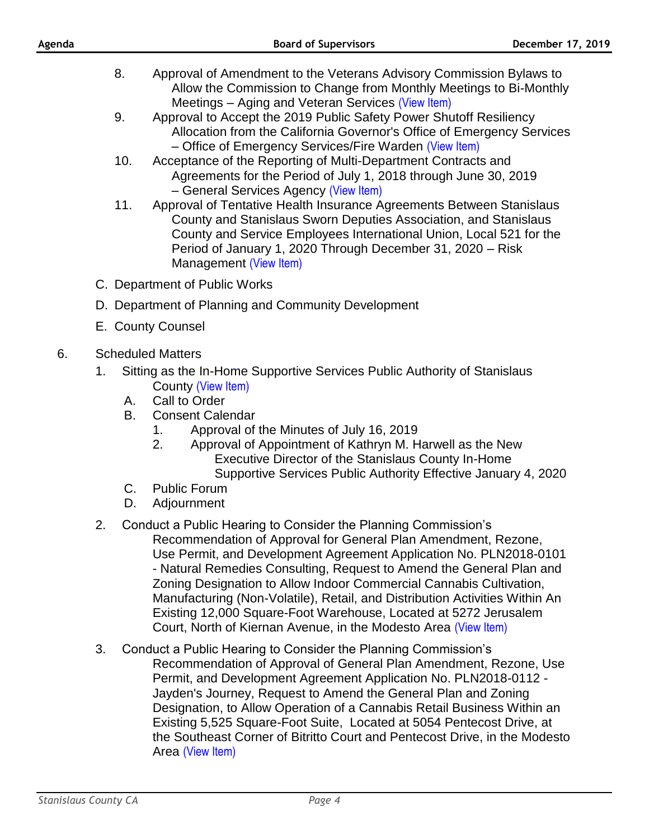- 8. Approval of Amendment to the Veterans Advisory Commission Bylaws to Allow the Commission to Change from Monthly Meetings to Bi-Monthly Meetings – Aging and Veteran Services [\(View Item\)](http://www.stancounty.com/bos/agenda/2019/20191217/B08.pdf)
- 9. Approval to Accept the 2019 Public Safety Power Shutoff Resiliency Allocation from the California Governor's Office of Emergency Services – Office of Emergency Services/Fire Warden [\(View Item\)](http://www.stancounty.com/bos/agenda/2019/20191217/B09.pdf)
- 10. Acceptance of the Reporting of Multi-Department Contracts and Agreements for the Period of July 1, 2018 through June 30, 2019 – General Services Agency [\(View Item\)](http://www.stancounty.com/bos/agenda/2019/20191217/B10.pdf)
- 11. Approval of Tentative Health Insurance Agreements Between Stanislaus County and Stanislaus Sworn Deputies Association, and Stanislaus County and Service Employees International Union, Local 521 for the Period of January 1, 2020 Through December 31, 2020 – Risk Management [\(View Item\)](http://www.stancounty.com/bos/agenda/2019/20191217/B11.pdf)
- C. Department of Public Works
- D. Department of Planning and Community Development
- E. County Counsel
- 6. Scheduled Matters
	- 1. Sitting as the In-Home Supportive Services Public Authority of Stanislaus County [\(View Item\)](http://www.stancounty.com/bos/agenda/2019/20191217/PH01.pdf)
		- A. Call to Order
		- B. Consent Calendar
			- 1. Approval of the Minutes of July 16, 2019
			- 2. Approval of Appointment of Kathryn M. Harwell as the New Executive Director of the Stanislaus County In-Home Supportive Services Public Authority Effective January 4, 2020
		- C. Public Forum
		- D. Adjournment
	- 2. Conduct a Public Hearing to Consider the Planning Commission's Recommendation of Approval for General Plan Amendment, Rezone, Use Permit, and Development Agreement Application No. PLN2018-0101 - Natural Remedies Consulting, Request to Amend the General Plan and Zoning Designation to Allow Indoor Commercial Cannabis Cultivation, Manufacturing (Non-Volatile), Retail, and Distribution Activities Within An Existing 12,000 Square-Foot Warehouse, Located at 5272 Jerusalem Court, North of Kiernan Avenue, in the Modesto Area [\(View Item\)](http://www.stancounty.com/bos/agenda/2019/20191217/PH02.pdf)
	- 3. Conduct a Public Hearing to Consider the Planning Commission's Recommendation of Approval of General Plan Amendment, Rezone, Use Permit, and Development Agreement Application No. PLN2018-0112 - Jayden's Journey, Request to Amend the General Plan and Zoning Designation, to Allow Operation of a Cannabis Retail Business Within an Existing 5,525 Square-Foot Suite, Located at 5054 Pentecost Drive, at the Southeast Corner of Bitritto Court and Pentecost Drive, in the Modesto Area [\(View Item\)](http://www.stancounty.com/bos/agenda/2019/20191217/PH03.pdf)